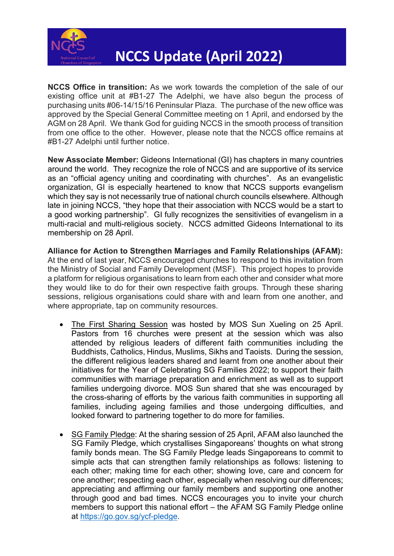

**NCCS Office in transition:** As we work towards the completion of the sale of our existing office unit at #B1-27 The Adelphi, we have also begun the process of purchasing units #06-14/15/16 Peninsular Plaza. The purchase of the new office was approved by the Special General Committee meeting on 1 April, and endorsed by the AGM on 28 April. We thank God for guiding NCCS in the smooth process of transition from one office to the other. However, please note that the NCCS office remains at #B1-27 Adelphi until further notice.

**New Associate Member:** Gideons International (GI) has chapters in many countries around the world. They recognize the role of NCCS and are supportive of its service as an "official agency uniting and coordinating with churches". As an evangelistic organization, GI is especially heartened to know that NCCS supports evangelism which they say is not necessarily true of national church councils elsewhere. Although late in joining NCCS, "they hope that their association with NCCS would be a start to a good working partnership".GI fully recognizes the sensitivities of evangelism in a multi-racial and multi-religious society. NCCS admitted Gideons International to its membership on 28 April.

**Alliance for Action to Strengthen Marriages and Family Relationships (AFAM):** At the end of last year, NCCS encouraged churches to respond to this invitation from the Ministry of Social and Family Development (MSF). This project hopes to provide a platform for religious organisations to learn from each other and consider what more they would like to do for their own respective faith groups. Through these sharing sessions, religious organisations could share with and learn from one another, and where appropriate, tap on community resources.

- The First Sharing Session was hosted by MOS Sun Xueling on 25 April. Pastors from 16 churches were present at the session which was also attended by religious leaders of different faith communities including the Buddhists, Catholics, Hindus, Muslims, Sikhs and Taoists. During the session, the different religious leaders shared and learnt from one another about their initiatives for the Year of Celebrating SG Families 2022; to support their faith communities with marriage preparation and enrichment as well as to support families undergoing divorce. MOS Sun shared that she was encouraged by the cross-sharing of efforts by the various faith communities in supporting all families, including ageing families and those undergoing difficulties, and looked forward to partnering together to do more for families.
- SG Family Pledge: At the sharing session of 25 April, AFAM also launched the SG Family Pledge, which crystallises Singaporeans' thoughts on what strong family bonds mean. The SG Family Pledge leads Singaporeans to commit to simple acts that can strengthen family relationships as follows: listening to each other; making time for each other; showing love, care and concern for one another; respecting each other, especially when resolving our differences; appreciating and affirming our family members and supporting one another through good and bad times. NCCS encourages you to invite your church members to support this national effort – the AFAM SG Family Pledge online at [https://go.gov.sg/ycf-pledge.](https://apc01.safelinks.protection.outlook.com/?url=https%3A%2F%2Fgo.gov.sg%2Fycf-pledge&data=05%7C01%7Cngoei%40methodist.org.sg%7C1fe901f650c144661e8c08da276374c2%7Cf5a43af2bc784eb5b1953f81c852faa0%7C0%7C0%7C637865605678216659%7CUnknown%7CTWFpbGZsb3d8eyJWIjoiMC4wLjAwMDAiLCJQIjoiV2luMzIiLCJBTiI6Ik1haWwiLCJXVCI6Mn0%3D%7C3000%7C%7C%7C&sdata=598zR%2BRGyOjjjGT1pCOStWRfeJxcZvLU%2F6D7sczPv%2BQ%3D&reserved=0)